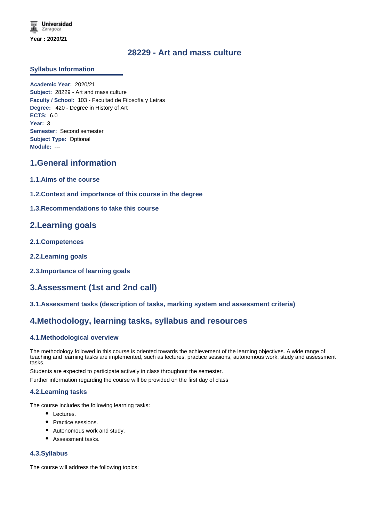## **28229 - Art and mass culture**

### **Syllabus Information**

**Academic Year:** 2020/21 **Subject:** 28229 - Art and mass culture **Faculty / School:** 103 - Facultad de Filosofía y Letras **Degree:** 420 - Degree in History of Art **ECTS:** 6.0 **Year:** 3 **Semester:** Second semester **Subject Type:** Optional **Module:** ---

## **1.General information**

- **1.1.Aims of the course**
- **1.2.Context and importance of this course in the degree**
- **1.3.Recommendations to take this course**

## **2.Learning goals**

- **2.1.Competences**
- **2.2.Learning goals**
- **2.3.Importance of learning goals**

# **3.Assessment (1st and 2nd call)**

**3.1.Assessment tasks (description of tasks, marking system and assessment criteria)**

## **4.Methodology, learning tasks, syllabus and resources**

#### **4.1.Methodological overview**

The methodology followed in this course is oriented towards the achievement of the learning objectives. A wide range of teaching and learning tasks are implemented, such as lectures, practice sessions, autonomous work, study and assessment tasks.

Students are expected to participate actively in class throughout the semester.

Further information regarding the course will be provided on the first day of class

#### **4.2.Learning tasks**

The course includes the following learning tasks:

- Lectures.
- Practice sessions.
- Autonomous work and study.
- Assessment tasks.

#### **4.3.Syllabus**

The course will address the following topics: